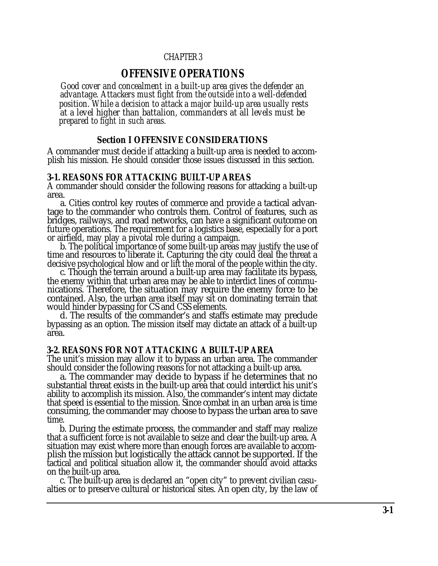## CHAPTER 3

# **OFFENSIVE OPERATIONS**

<span id="page-0-0"></span>*Good cover and concealment in a built-up area gives the defender an advantage. Attackers must fight from the outside into a well-defended position. While a decision to attack a major build-up area usually rests at a level higher than battalion, commanders at all levels must be prepared to fight in such areas.*

#### **Section I OFFENSIVE CONSIDERATIONS**

A commander must decide if attacking a built-up area is needed to accomplish his mission. He should consider those issues discussed in this section.

#### **3-1. REASONS FOR ATTACKING BUILT-UP AREAS**

A commander should consider the following reasons for attacking a built-up area.

a. Cities control key routes of commerce and provide a tactical advantage to the commander who controls them. Control of features, such as bridges, railways, and road networks, can have a significant outcome on future operations. The requirement for a logistics base, especially for a port or airfield, may play a pivotal role during a campaign.

b. The political importance of some built-up areas may justify the use of time and resources to liberate it. Capturing the city could deal the threat a decisive psychological blow and or lift the moral of the people within the city.

c. Though the terrain around a built-up area may facilitate its bypass, the enemy within that urban area may be able to interdict lines of communications. Therefore, the situation may require the enemy force to be contained. Also, the urban area itself may sit on dominating terrain that would hinder bypassing for CS and CSS elements.

d. The results of the commander's and staffs estimate may preclude bypassing as an option. The mission itself may dictate an attack of a built-up area.

## **3-2. REASONS FOR NOT ATTACKING A BUILT-UP AREA**

The unit's mission may allow it to bypass an urban area. The commander should consider the following reasons for not attacking a built-up area.

a. The commander may decide to bypass if he determines that no substantial threat exists in the built-up area that could interdict his unit's ability to accomplish its mission. Also, the commander's intent may dictate that speed is essential to the mission. Since combat in an urban area is time consuming, the commander may choose to bypass the urban area to save time.

b. During the estimate process, the commander and staff may realize that a sufficient force is not available to seize and clear the built-up area. A situation may exist where more than enough forces are available to accomplish the mission but logistically the attack cannot be supported. If the tactical and political situation allow it, the commander should avoid attacks on the built-up area.

c. The built-up area is declared an "open city" to prevent civilian casualties or to preserve cultural or historical sites. An open city, by the law of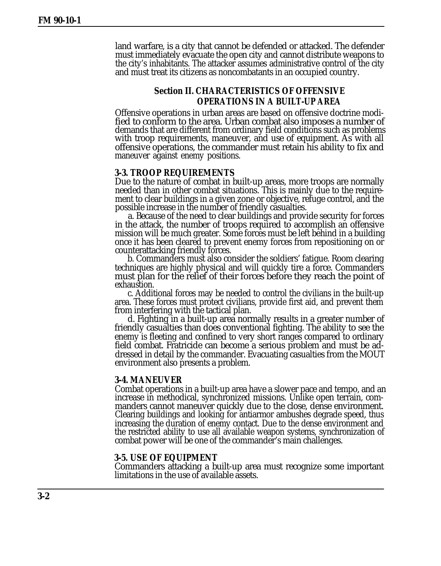land warfare, is a city that cannot be defended or attacked. The defender must immediately evacuate the open city and cannot distribute weapons to the city's inhabitants. The attacker assumes administrative control of the city and must treat its citizens as noncombatants in an occupied country.

# **Section II. CHARACTERISTICS OF OFFENSIVE OPERATIONS IN A BUILT-UP AREA**

Offensive operations in urban areas are based on offensive doctrine modified to conform to the area. Urban combat also imposes a number of demands that are different from ordinary field conditions such as problems with troop requirements, maneuver, and use of equipment. As with all offensive operations, the commander must retain his ability to fix and maneuver against enemy positions.

#### **3-3. TROOP REQUIREMENTS**

Due to the nature of combat in built-up areas, more troops are normally needed than in other combat situations. This is mainly due to the requirement to clear buildings in a given zone or objective, refuge control, and the possible increase in the number of friendly casualties.

a. Because of the need to clear buildings and provide security for forces in the attack, the number of troops required to accomplish an offensive mission will be much greater. Some forces must be left behind in a building once it has been cleared to prevent enemy forces from repositioning on or counterattacking friendly forces.

b. Commanders must also consider the soldiers' fatigue. Room clearing techniques are highly physical and will quickly tire a force. Commanders must plan for the relief of their forces before they reach the point of exhaustion.

c. Additional forces may be needed to control the civilians in the built-up area. These forces must protect civilians, provide first aid, and prevent them from interfering with the tactical plan.

d. Fighting in a built-up area normally results in a greater number of friendly casualties than does conventional fighting. The ability to see the enemy is fleeting and confined to very short ranges compared to ordinary field combat. Fratricide can become a serious problem and must be addressed in detail by the commander. Evacuating casualties from the MOUT environment also presents a problem.

#### **3-4. MANEUVER**

Combat operations in a built-up area have a slower pace and tempo, and an increase in methodical, synchronized missions. Unlike open terrain, commanders cannot maneuver quickly due to the close, dense environment. Clearing buildings and looking for antiarmor ambushes degrade speed, thus increasing the duration of enemy contact. Due to the dense environment and the restricted ability to use all available weapon systems, synchronization of combat power will be one of the commander's main challenges.

#### **3-5. USE OF EQUIPMENT**

Commanders attacking a built-up area must recognize some important limitations in the use of available assets.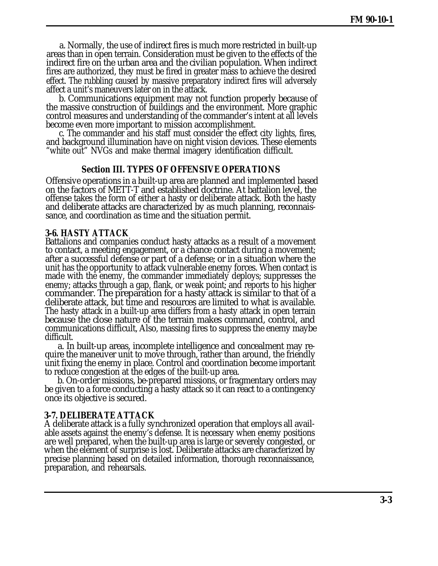a. Normally, the use of indirect fires is much more restricted in built-up areas than in open terrain. Consideration must be given to the effects of the indirect fire on the urban area and the civilian population. When indirect fires are authorized, they must be fired in greater mass to achieve the desired effect. The rubbling caused by massive preparatory indirect fires will adversely affect a unit's maneuvers later on in the attack.

b. Communications equipment may not function properly because of the massive construction of buildings and the environment. More graphic control measures and understanding of the commander's intent at all levels become even more important to mission accomplishment.

c. The commander and his staff must consider the effect city lights, fires, and background illumination have on night vision devices. These elements "white out" NVGs and make thermal imagery identification difficult.

### **Section III. TYPES OF OFFENSIVE OPERATIONS**

Offensive operations in a built-up area are planned and implemented based on the factors of METT-T and established doctrine. At battalion level, the offense takes the form of either a hasty or deliberate attack. Both the hasty and deliberate attacks are characterized by as much planning, reconnaissance, and coordination as time and the situation permit.

## **3-6. HASTY ATTACK**

Battalions and companies conduct hasty attacks as a result of a movement to contact, a meeting engagement, or a chance contact during a movement; after a successful defense or part of a defense; or in a situation where the unit has the opportunity to attack vulnerable enemy forces. When contact is made with the enemy, the commander immediately deploys; suppresses the enemy; attacks through a gap, flank, or weak point; and reports to his higher commander. The preparation for a hasty attack is similar to that of a deliberate attack, but time and resources are limited to what is available. The hasty attack in a built-up area differs from a hasty attack in open terrain because the close nature of the terrain makes command, control, and communications difficult, Also, massing fires to suppress the enemy maybe difficult.

a. In built-up areas, incomplete intelligence and concealment may require the maneuver unit to move through, rather than around, the friendly unit fixing the enemy in place. Control and coordination become important to reduce congestion at the edges of the built-up area.

b. On-order missions, be-prepared missions, or fragmentary orders may be given to a force conducting a hasty attack so it can react to a contingency once its objective is secured.

### **3-7. DELIBERATE ATTACK**

A deliberate attack is a fully synchronized operation that employs all available assets against the enemy's defense. It is necessary when enemy positions are well prepared, when the built-up area is large or severely congested, or when the element of surprise is lost. Deliberate attacks are characterized by precise planning based on detailed information, thorough reconnaissance, preparation, and rehearsals.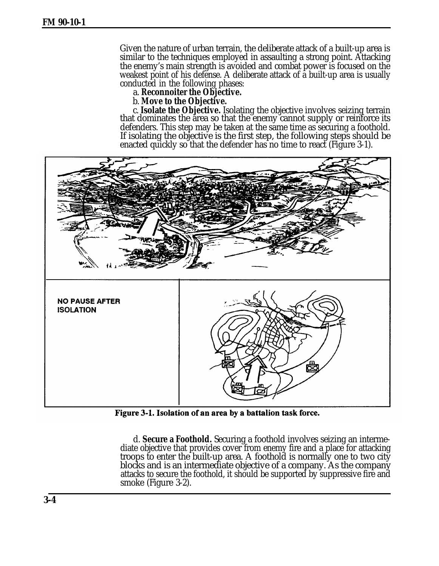Given the nature of urban terrain, the deliberate attack of a built-up area is similar to the techniques employed in assaulting a strong point. Attacking the enemy's main strength is avoided and combat power is focused on the weakest point of his defense. A deliberate attack of a built-up area is usually conducted in the following phases:

a. **Reconnoiter the Objective.**

b. **Move to the Objective.**

c. **Isolate the Objective.** Isolating the objective involves seizing terrain that dominates the area so that the enemy cannot supply or reinforce its defenders. This step may be taken at the same time as securing a foothold. If isolating the objective is the first step, the following steps should be enacted quickly so that the defender has no time to react (Figure 3-1).



Figure 3-1. Isolation of an area by a battalion task force.

d. **Secure a Foothold.** Securing a foothold involves seizing an intermediate objective that provides cover from enemy fire and a place for attacking troops to enter the built-up area. A foothold is normally one to two city blocks and is an intermediate objective of a company. As the company attacks to secure the foothold, it should be supported by suppressive fire and smoke [\(Figure 3-2\)](#page-4-0).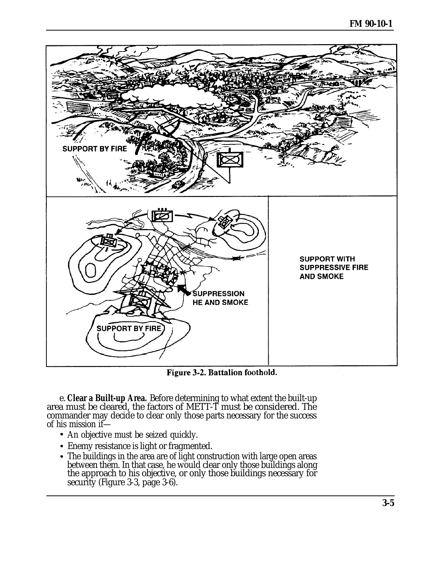<span id="page-4-0"></span>

Figure 3-2. Battalion foothold.

e. **Clear a Built-up Area.** Before determining to what extent the built-up area must be cleared, the factors of METT-T must be considered. The commander may decide to clear only those parts necessary for the success of his mission if—

- An objective must be seized quickly.
- Enemy resistance is light or fragmented.
- The buildings in the area are of light construction with large open areas between them. In that case, he would clear only those buildings along the approach to his objective, or only those buildings necessary for security [\(Figure 3-3,](#page-5-0) page 3-6).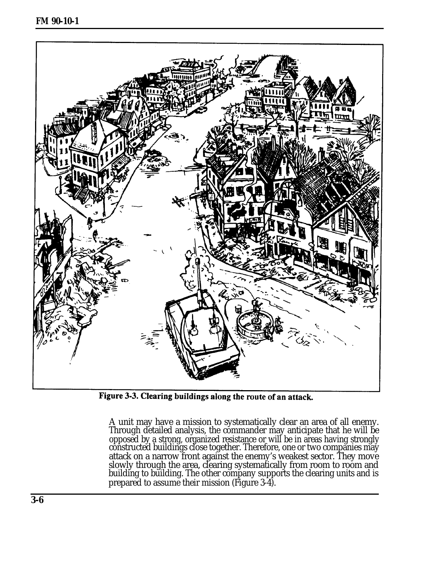<span id="page-5-0"></span>

Figure 3-3. Clearing buildings along the route of an attack.

A unit may have a mission to systematically clear an area of all enemy. Through detailed analysis, the commander may anticipate that he will be opposed by a strong, organized resistance or will be in areas having strongly constructed buildings close together. Therefore, one or two companies may attack on a narrow front against the enemy's weakest sector. They move slowly through the area, clearing systematically from room to room and building to building. The other company supports the clearing units and is prepared to assume their mission [\(Figure 3-4\)](#page-6-0).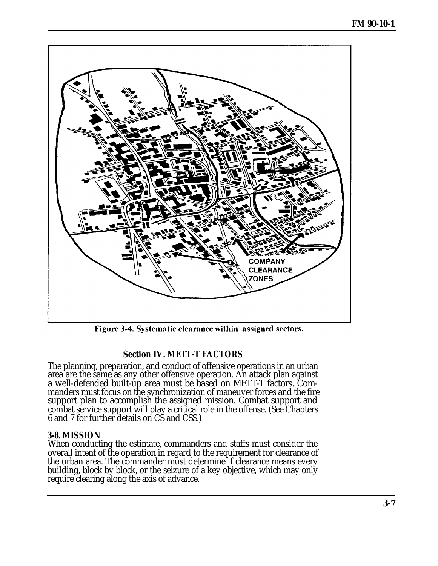<span id="page-6-0"></span>

Figure 3-4. Systematic clearance within assigned sectors.

# **Section IV. METT-T FACTORS**

The planning, preparation, and conduct of offensive operations in an urban area are the same as any other offensive operation. An attack plan against a well-defended built-up area must be based on METT-T factors. Commanders must focus on the synchronization of maneuver forces and the fire support plan to accomplish the assigned mission. Combat support and combat service support will play a critical role in the offense. (See [Chapters](#page-0-0) [6 a](#page-0-0)n[d 7](#page-0-0) for further details on CS and CSS.)

# **3-8. MISSION**

When conducting the estimate, commanders and staffs must consider the overall intent of the operation in regard to the requirement for clearance of the urban area. The commander must determine if clearance means every building, block by block, or the seizure of a key objective, which may only require clearing along the axis of advance.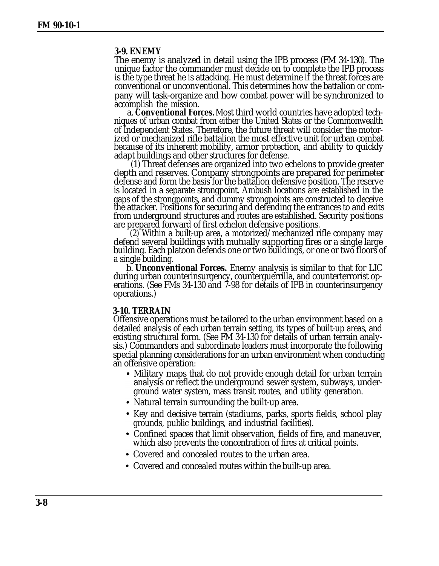#### **3-9. ENEMY**

The enemy is analyzed in detail using the IPB process (FM 34-130). The unique factor the commander must decide on to complete the IPB process is the type threat he is attacking. He must determine if the threat forces are conventional or unconventional. This determines how the battalion or company will task-organize and how combat power will be synchronized to accomplish the mission.

a. **Conventional Forces.** Most third world countries have adopted techniques of urban combat from either the United States or the Commonwealth of Independent States. Therefore, the future threat will consider the motorized or mechanized rifle battalion the most effective unit for urban combat because of its inherent mobility, armor protection, and ability to quickly adapt buildings and other structures for defense.

(1) Threat defenses are organized into two echelons to provide greater depth and reserves. Company strongpoints are prepared for perimeter defense and form the basis for the battalion defensive position. The reserve is located in a separate strongpoint. Ambush locations are established in the gaps of the strongpoints, and dummy strongpoints are constructed to deceive the attacker. Positions for securing and defending the entrances to and exits from underground structures and routes are established. Security positions are prepared forward of first echelon defensive positions.

(2) Within a built-up area, a motorized/mechanized rifle company may defend several buildings with mutually supporting fires or a single large building. Each platoon defends one or two buildings, or one or two floors of a single building.

b. **Unconventional Forces.** Enemy analysis is similar to that for LIC during urban counterinsurgency, counterguerrilla, and counterterrorist operations. (See FMs 34-130 and 7-98 for details of IPB in counterinsurgency operations.)

#### **3-10. TERRAIN**

Offensive operations must be tailored to the urban environment based on a detailed analysis of each urban terrain setting, its types of built-up areas, and existing structural form. (See FM 34-130 for details of urban terrain analysis.) Commanders and subordinate leaders must incorporate the following special planning considerations for an urban environment when conducting an offensive operation:

- Military maps that do not provide enough detail for urban terrain analysis or reflect the underground sewer system, subways, underground water system, mass transit routes, and utility generation.
- Natural terrain surrounding the built-up area.
- Key and decisive terrain (stadiums, parks, sports fields, school play grounds, public buildings, and industrial facilities).
- Confined spaces that limit observation, fields of fire, and maneuver, which also prevents the concentration of fires at critical points.
- Covered and concealed routes to the urban area.
- Covered and concealed routes within the built-up area.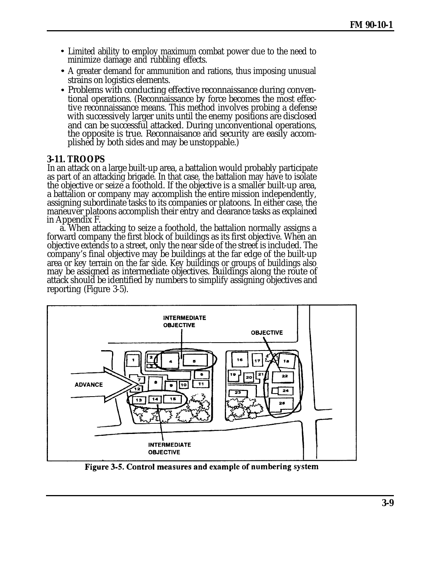- Limited ability to employ maximum combat power due to the need to minimize damage and rubbling effects.
- A greater demand for ammunition and rations, thus imposing unusual strains on logistics elements.
- Problems with conducting effective reconnaissance during conventional operations. (Reconnaissance by force becomes the most effective reconnaissance means. This method involves probing a defense with successively larger units until the enemy positions are disclosed and can be successful attacked. During unconventional operations, the opposite is true. Reconnaisance and security are easily accomplished by both sides and may be unstoppable.)

# **3-11. TROOPS**

In an attack on a large built-up area, a battalion would probably participate as part of an attacking brigade. In that case, the battalion may have to isolate the objective or seize a foothold. If the objective is a smaller built-up area, a battalion or company may accomplish the entire mission independently, assigning subordinate tasks to its companies or platoons. In either case, the maneuver platoons accomplish their entry and clearance tasks as explained i[n Appendix F.](#page-0-0)

a. When attacking to seize a foothold, the battalion normally assigns a forward company the first block of buildings as its first objective. When an objective extends to a street, only the near side of the street is included. The company's final objective may be buildings at the far edge of the built-up area or key terrain on the far side. Key buildings or groups of buildings also may be assigned as intermediate objectives. Buildings along the route of attack should be identified by numbers to simplify assigning objectives and reporting (Figure 3-5).



Figure 3-5. Control measures and example of numbering system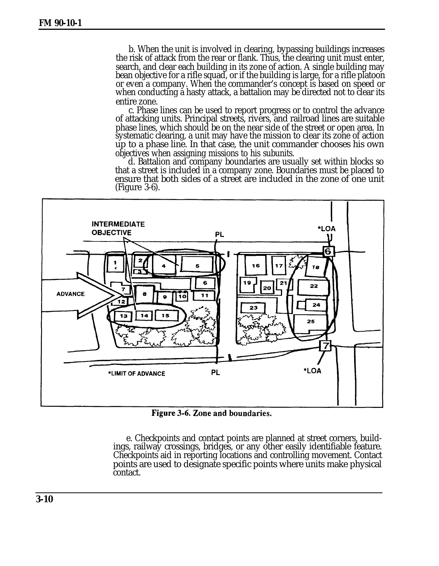b. When the unit is involved in clearing, bypassing buildings increases the risk of attack from the rear or flank. Thus, the clearing unit must enter, search, and clear each building in its zone of action. A single building may bean objective for a rifle squad, or if the building is large, for a rifle platoon or even a company. When the commander's concept is based on speed or when conducting a hasty attack, a battalion may be directed not to clear its entire zone.

c. Phase lines can be used to report progress or to control the advance of attacking units. Principal streets, rivers, and railroad lines are suitable phase lines, which should be on the near side of the street or open area. In systematic clearing, a unit may have the mission to clear its zone of action up to a phase line. In that case, the unit commander chooses his own objectives when assigning missions to his subunits.

d. Battalion and company boundaries are usually set within blocks so that a street is included in a company zone. Boundaries must be placed to ensure that both sides of a street are included in the zone of one unit (Figure 3-6).



Figure 3-6. Zone and boundaries.

e. Checkpoints and contact points are planned at street corners, buildings, railway crossings, bridges, or any other easily identifiable feature. Checkpoints aid in reporting locations and controlling movement. Contact points are used to designate specific points where units make physical contact.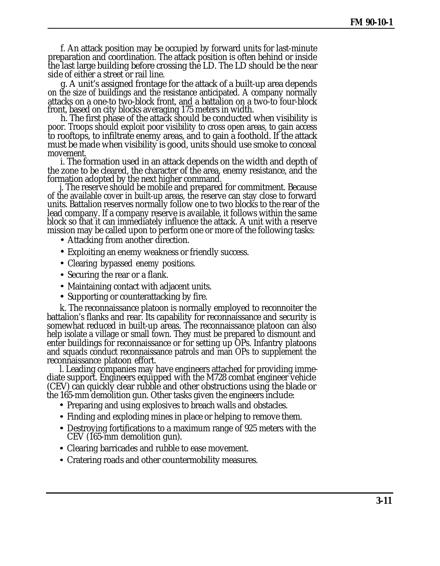f. An attack position may be occupied by forward units for last-minute preparation and coordination. The attack position is often behind or inside the last large building before crossing the LD. The LD should be the near side of either a street or rail line.

g. A unit's assigned frontage for the attack of a built-up area depends on the size of buildings and the resistance anticipated. A company normally attacks on a one-to two-block front, and a battalion on a two-to four-block front, based on city blocks averaging 175 meters in width.

h. The first phase of the attack should be conducted when visibility is poor. Troops should exploit poor visibility to cross open areas, to gain access to rooftops, to infiltrate enemy areas, and to gain a foothold. If the attack must be made when visibility is good, units should use smoke to conceal movement.

i. The formation used in an attack depends on the width and depth of the zone to be cleared, the character of the area, enemy resistance, and the formation adopted by the next higher command.

j. The reserve should be mobile and prepared for commitment. Because of the available cover in built-up areas, the reserve can stay close to forward units. Battalion reserves normally follow one to two blocks to the rear of the lead company. If a company reserve is available, it follows within the same block so that it can immediately influence the attack. A unit with a reserve mission may be called upon to perform one or more of the following tasks:

- Attacking from another direction.
- Exploiting an enemy weakness or friendly success.
- Clearing bypassed enemy positions.
- Securing the rear or a flank.
- Maintaining contact with adjacent units.
- Supporting or counterattacking by fire.

k. The reconnaissance platoon is normally employed to reconnoiter the battalion's flanks and rear. Its capability for reconnaissance and security is somewhat reduced in built-up areas. The reconnaissance platoon can also help isolate a village or small town. They must be prepared to dismount and enter buildings for reconnaissance or for setting up OPs. Infantry platoons and squads conduct reconnaissance patrols and man OPs to supplement the reconnaissance platoon effort.

l. Leading companies may have engineers attached for providing immediate support. Engineers equipped with the M728 combat engineer vehicle (CEV) can quickly clear rubble and other obstructions using the blade or the 165-mm demolition gun. Other tasks given the engineers include:

- Preparing and using explosives to breach walls and obstacles.
- Finding and exploding mines in place or helping to remove them.
- Destroying fortifications to a maximum range of 925 meters with the CEV (165-mm demolition gun).
- Clearing barricades and rubble to ease movement.
- Cratering roads and other countermobility measures.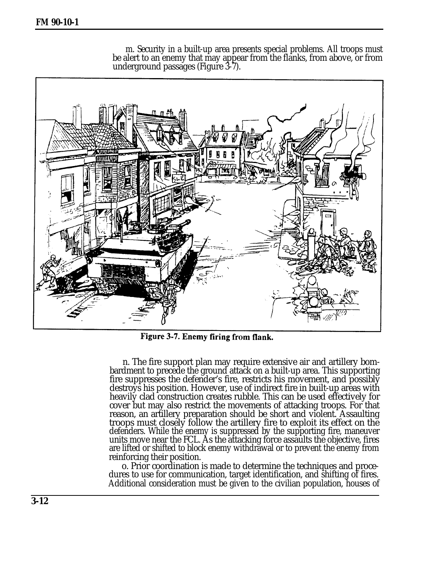**FM 90-10-1**

m. Security in a built-up area presents special problems. All troops must be alert to an enemy that may appear from the flanks, from above, or from underground passages (Figure 3-7).



Figure 3-7. Enemy firing from flank.

n. The fire support plan may require extensive air and artillery bombardment to precede the ground attack on a built-up area. This supporting fire suppresses the defender's fire, restricts his movement, and possibly destroys his position. However, use of indirect fire in built-up areas with heavily clad construction creates rubble. This can be used effectively for cover but may also restrict the movements of attacking troops. For that reason, an artillery preparation should be short and violent. Assaulting troops must closely follow the artillery fire to exploit its effect on the defenders. While the enemy is suppressed by the supporting fire, maneuver units move near the FCL. As the attacking force assaults the objective, fires are lifted or shifted to block enemy withdrawal or to prevent the enemy from reinforcing their position.

o. Prior coordination is made to determine the techniques and procedures to use for communication, target identification, and shifting of fires. Additional consideration must be given to the civilian population, houses of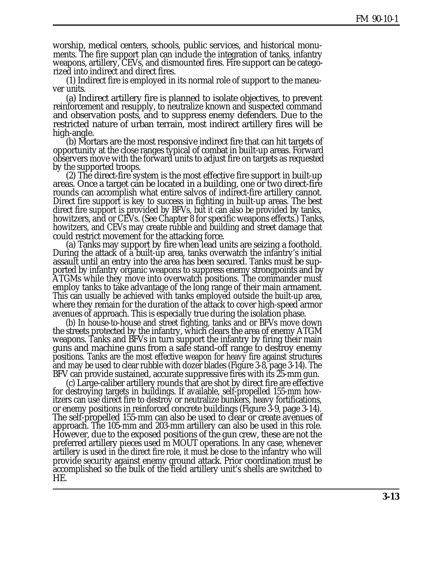worship, medical centers, schools, public services, and historical monuments. The fire support plan can include the integration of tanks, infantry weapons, artillery, CEVs, and dismounted fires. Fire support can be categorized into indirect and direct fires.

(1) Indirect fire is employed in its normal role of support to the maneuver units.

(a) Indirect artillery fire is planned to isolate objectives, to prevent reinforcement and resupply, to neutralize known and suspected command and observation posts, and to suppress enemy defenders. Due to the restricted nature of urban terrain, most indirect artillery fires will be high-angle.

(b) Mortars are the most responsive indirect fire that can hit targets of opportunity at the close ranges typical of combat in built-up areas. Forward observers move with the forward units to adjust fire on targets as requested by the supported troops.

(2) The direct-fire system is the most effective fire support in built-up areas. Once a target can be located in a building, one or two direct-fire rounds can accomplish what entire salvos of indirect-fire artillery cannot. Direct fire support is key to success in fighting in built-up areas. The best direct fire support is provided by BFVs, but it can also be provided by tanks, howitzers, and or CEVs. (See [Chapter 8](#page-0-0) for specific weapons effects.) Tanks, howitzers, and CEVs may create rubble and building and street damage that could restrict movement for the attacking force.

(a) Tanks may support by fire when lead units are seizing a foothold. During the attack of a built-up area, tanks overwatch the infantry's initial assault until an entry into the area has been secured. Tanks must be supported by infantry organic weapons to suppress enemy strongpoints and by ATGMs while they move into overwatch positions. The commander must employ tanks to take advantage of the long range of their main armament. This can usually be achieved with tanks employed outside the built-up area, where they remain for the duration of the attack to cover high-speed armor avenues of approach. This is especially true during the isolation phase.

(b) In house-to-house and street fighting, tanks and or BFVs move down the streets protected by the infantry, which clears the area of enemy ATGM weapons. Tanks and BFVs in turn support the infantry by firing their main guns and machine guns from a safe stand-off range to destroy enemy positions. Tanks are the most effective weapon for heavy fire against structures and may be used to clear rubble with dozer blades [\(Figure 3-8,](#page-13-0) page 3-14). The BFV can provide sustained, accurate suppressive fires with its 25-mm gun.

(c) Large-caliber artillery rounds that are shot by direct fire are effective for destroying targets in buildings. If available, self-propelled 155-mm howitzers can use direct fire to destroy or neutralize bunkers, heavy fortifications, or enemy positions in reinforced concrete buildings [\(Figure 3-9,](#page-13-0) page 3-14). The self-propelled 155-mm can also be used to clear or create avenues of approach. The 105-mm and 203-mm artillery can also be used in this role. However, due to the exposed positions of the gun crew, these are not the preferred artillery pieces used m MOUT operations. In any case, whenever artillery is used in the direct fire role, it must be close to the infantry who will provide security against enemy ground attack. Prior coordination must be accomplished so the bulk of the field artillery unit's shells are switched to HE.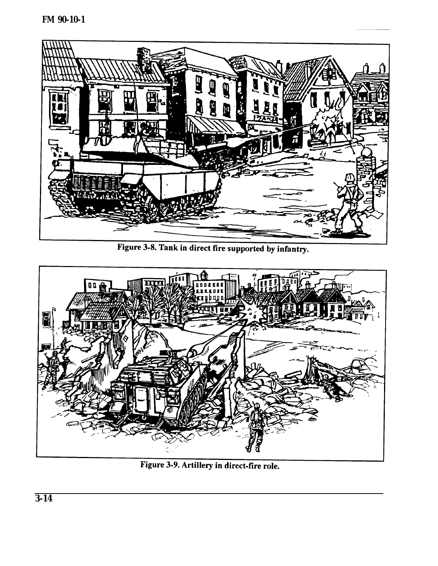<span id="page-13-0"></span>

Figure 3-8. Tank in direct fire supported by infantry.



Figure 3-9. Artillery in direct-fire role.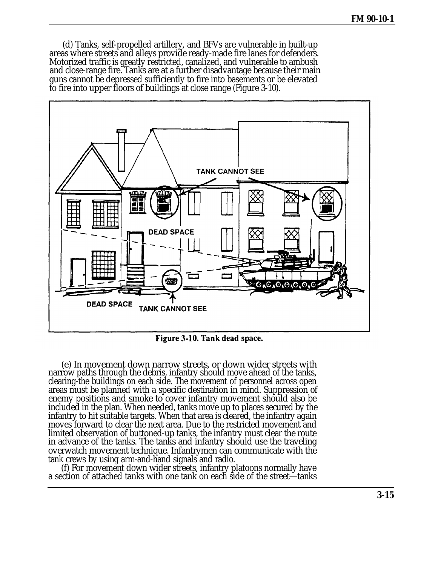(d) Tanks, self-propelled artillery, and BFVs are vulnerable in built-up areas where streets and alleys provide ready-made fire lanes for defenders. Motorized traffic is greatly restricted, canalized, and vulnerable to ambush and close-range fire. Tanks are at a further disadvantage because their main guns cannot be depressed sufficiently to fire into basements or be elevated to fire into upper floors of buildings at close range (Figure 3-10).



Figure 3-10. Tank dead space.

(e) In movement down narrow streets, or down wider streets with narrow paths through the debris, infantry should move ahead of the tanks, clearing-the buildings on each side. The movement of personnel across open areas must be planned with a specific destination in mind. Suppression of enemy positions and smoke to cover infantry movement should also be included in the plan. When needed, tanks move up to places secured by the infantry to hit suitable targets. When that area is cleared, the infantry again moves forward to clear the next area. Due to the restricted movement and limited observation of buttoned-up tanks, the infantry must clear the route in advance of the tanks. The tanks and infantry should use the traveling overwatch movement technique. Infantrymen can communicate with the tank crews by using arm-and-hand signals and radio.

(f) For movement down wider streets, infantry platoons normally have a section of attached tanks with one tank on each side of the street—tanks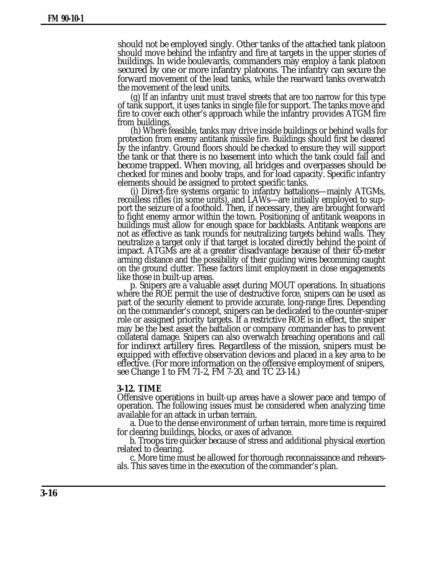should not be employed singly. Other tanks of the attached tank platoon should move behind the infantry and fire at targets in the upper stories of buildings. In wide boulevards, commanders may employ a tank platoon secured by one or more infantry platoons. The infantry can secure the forward movement of the lead tanks, while the rearward tanks overwatch the movement of the lead units.

(g) If an infantry unit must travel streets that are too narrow for this type of tank support, it uses tanks in single file for support. The tanks move and fire to cover each other's approach while the infantry provides ATGM fire from buildings.

(h) Where feasible, tanks may drive inside buildings or behind walls for protection from enemy antitank missile fire. Buildings should first be cleared by the infantry. Ground floors should be checked to ensure they will support the tank or that there is no basement into which the tank could fall and become trapped. When moving, all bridges and overpasses should be checked for mines and booby traps, and for load capacity. Specific infantry elements should be assigned to protect specific tanks.

(i) Direct-fire systems organic to infantry battalions—mainly ATGMs, recoilless rifles (in some units), and LAWs—are initially employed to support the seizure of a foothold. Then, if necessary, they are brought forward to fight enemy armor within the town. Positioning of antitank weapons in buildings must allow for enough space for backblasts. Antitank weapons are not as effective as tank rounds for neutralizing targets behind walls. They neutralize a target only if that target is located directly behind the point of impact. ATGMs are at a greater disadvantage because of their 65-meter arming distance and the possibility of their guiding wires becomming caught on the ground clutter. These factors limit employment in close engagements like those in built-up areas.

p. Snipers are a valuable asset during MOUT operations. In situations where the ROE permit the use of destructive force, snipers can be used as part of the security element to provide accurate, long-range fires. Depending on the commander's concept, snipers can be dedicated to the counter-sniper role or assigned priority targets. If a restrictive ROE is in effect, the sniper may be the best asset the battalion or company commander has to prevent collateral damage. Snipers can also overwatch breaching operations and call for indirect artillery fires. Regardless of the mission, snipers must be equipped with effective observation devices and placed in a key area to be effective. (For more information on the offensive employment of snipers, see Change 1 to FM 71-2, FM 7-20, and TC 23-14.)

#### **3-12. TIME**

Offensive operations in built-up areas have a slower pace and tempo of operation. The following issues must be considered when analyzing time available for an attack in urban terrain.

a. Due to the dense environment of urban terrain, more time is required for clearing buildings, blocks, or axes of advance.

b. Troops tire quicker because of stress and additional physical exertion related to clearing.

c. More time must be allowed for thorough reconnaissance and rehearsals. This saves time in the execution of the commander's plan.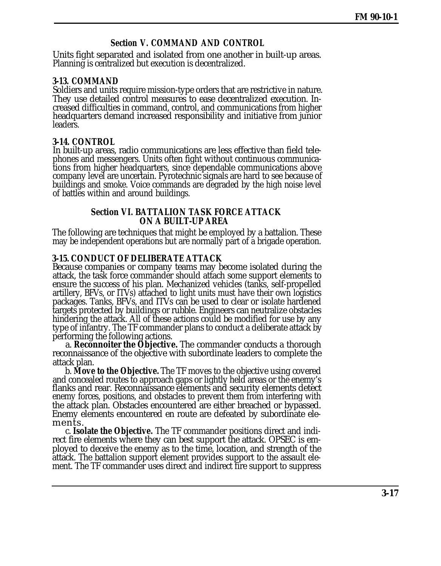# **Section V. COMMAND AND CONTROL**

Units fight separated and isolated from one another in built-up areas. Planning is centralized but execution is decentralized.

#### **3-13. COMMAND**

Soldiers and units require mission-type orders that are restrictive in nature. They use detailed control measures to ease decentralized execution. Increased difficulties in command, control, and communications from higher headquarters demand increased responsibility and initiative from junior leaders.

#### **3-14. CONTROL**

In built-up areas, radio communications are less effective than field telephones and messengers. Units often fight without continuous communications from higher headquarters, since dependable communications above company level are uncertain. Pyrotechnic signals are hard to see because of buildings and smoke. Voice commands are degraded by the high noise level of battles within and around buildings.

#### **Section VI. BATTALION TASK FORCE ATTACK ON A BUILT-UP AREA**

The following are techniques that might be employed by a battalion. These may be independent operations but are normally part of a brigade operation.

#### **3-15. CONDUCT OF DELIBERATE ATTACK**

Because companies or company teams may become isolated during the attack, the task force commander should attach some support elements to ensure the success of his plan. Mechanized vehicles (tanks, self-propelled artillery, BFVs, or ITVs) attached to light units must have their own logistics packages. Tanks, BFVs, and ITVs can be used to clear or isolate hardened targets protected by buildings or rubble. Engineers can neutralize obstacles hindering the attack. All of these actions could be modified for use by any type of infantry. The TF commander plans to conduct a deliberate attack by performing the following actions.

a. **Reconnoiter the Objective.** The commander conducts a thorough reconnaissance of the objective with subordinate leaders to complete the attack plan.

b. **Move to the Objective.** The TF moves to the objective using covered and concealed routes to approach gaps or lightly held areas or the enemy's flanks and rear. Reconnaissance elements and security elements detect enemy forces, positions, and obstacles to prevent them from interfering with the attack plan. Obstacles encountered are either breached or bypassed. Enemy elements encountered en route are defeated by subordinate elements.

c. **Isolate the Objective.** The TF commander positions direct and indirect fire elements where they can best support the attack. OPSEC is employed to deceive the enemy as to the time, location, and strength of the attack. The battalion support element provides support to the assault element. The TF commander uses direct and indirect fire support to suppress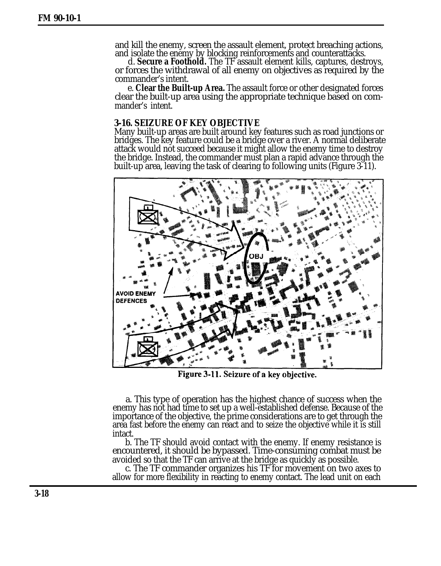<span id="page-17-0"></span>and kill the enemy, screen the assault element, protect breaching actions, and isolate the enemy by blocking reinforcements and counterattacks.

d. **Secure a Foothold.** The TF assault element kills, captures, destroys, or forces the withdrawal of all enemy on objectives as required by the commander's intent.

e. **Clear the Built-up Area.** The assault force or other designated forces clear the built-up area using the appropriate technique based on commander's intent.

### **3-16. SEIZURE OF KEY OBJECTIVE**

Many built-up areas are built around key features such as road junctions or bridges. The key feature could be a bridge over a river. A normal deliberate attack would not succeed because it might allow the enemy time to destroy the bridge. Instead, the commander must plan a rapid advance through the built-up area, leaving the task of clearing to following units (Figure 3-11).



Figure 3-11. Seizure of a key objective.

a. This type of operation has the highest chance of success when the enemy has not had time to set up a well-established defense. Because of the importance of the objective, the prime considerations are to get through the area fast before the enemy can react and to seize the objective while it is still intact.

b. The TF should avoid contact with the enemy. If enemy resistance is encountered, it should be bypassed. Time-consuming combat must be avoided so that the TF can arrive at the bridge as quickly as possible.

c. The TF commander organizes his TF for movement on two axes to allow for more flexibility in reacting to enemy contact. The lead unit on each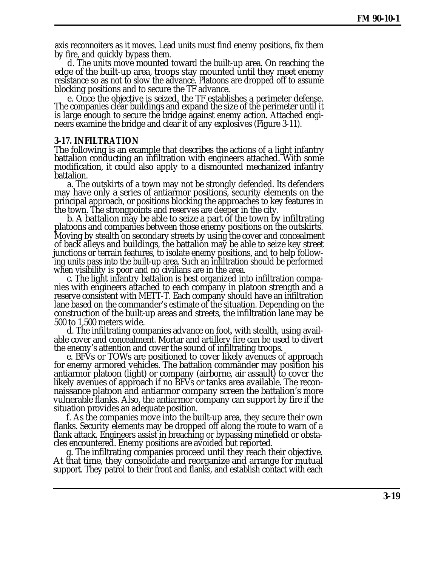axis reconnoiters as it moves. Lead units must find enemy positions, fix them by fire, and quickly bypass them.

d. The units move mounted toward the built-up area. On reaching the edge of the built-up area, troops stay mounted until they meet enemy resistance so as not to slow the advance. Platoons are dropped off to assume blocking positions and to secure the TF advance.

e. Once the objective is seized, the TF establishes a perimeter defense. The companies clear buildings and expand the size of the perimeter until it is large enough to secure the bridge against enemy action. Attached engineers examine the bridge and clear it of any explosives [\(Figure 3-11\)](#page-17-0).

#### **3-17. INFILTRATION**

The following is an example that describes the actions of a light infantry battalion conducting an infiltration with engineers attached. With some modification, it could also apply to a dismounted mechanized infantry battalion.

a. The outskirts of a town may not be strongly defended. Its defenders may have only a series of antiarmor positions, security elements on the principal approach, or positions blocking the approaches to key features in the town. The strongpoints and reserves are deeper in the city.

b. A battalion may be able to seize a part of the town by infiltrating platoons and companies between those enemy positions on the outskirts. Moving by stealth on secondary streets by using the cover and concealment of back alleys and buildings, the battalion may be able to seize key street junctions or terrain features, to isolate enemy positions, and to help following units pass into the built-up area. Such an infiltration should be performed when visibility is poor and no civilians are in the area.

c. The light infantry battalion is best organized into infiltration companies with engineers attached to each company in platoon strength and a reserve consistent with METT-T. Each company should have an infiltration lane based on the commander's estimate of the situation. Depending on the construction of the built-up areas and streets, the infiltration lane may be 500 to 1,500 meters wide.

d. The infiltrating companies advance on foot, with stealth, using available cover and concealment. Mortar and artillery fire can be used to divert the enemy's attention and cover the sound of infiltrating troops.

e. BFVs or TOWs are positioned to cover likely avenues of approach for enemy armored vehicles. The battalion commander may position his antiarmor platoon (light) or company (airborne, air assault) to cover the likely avenues of approach if no BFVs or tanks area available. The reconnaissance platoon and antiarmor company screen the battalion's more vulnerable flanks. Also, the antiarmor company can support by fire if the situation provides an adequate position.

f. As the companies move into the built-up area, they secure their own flanks. Security elements may be dropped off along the route to warn of a flank attack. Engineers assist in breaching or bypassing minefield or obstacles encountered. Enemy positions are avoided but reported.

g. The infiltrating companies proceed until they reach their objective. At that time, they consolidate and reorganize and arrange for mutual support. They patrol to their front and flanks, and establish contact with each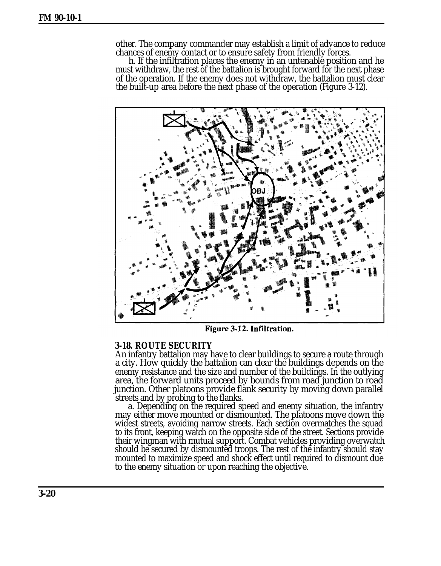other. The company commander may establish a limit of advance to reduce chances of enemy contact or to ensure safety from friendly forces.

h. If the infiltration places the enemy in an untenable position and he must withdraw, the rest of the battalion is brought forward for the next phase of the operation. If the enemy does not withdraw, the battalion must clear the built-up area before the next phase of the operation (Figure 3-12).

![](_page_19_Picture_3.jpeg)

Figure 3-12. Infiltration.

### **3-18. ROUTE SECURITY**

An infantry battalion may have to clear buildings to secure a route through a city. How quickly the battalion can clear the buildings depends on the enemy resistance and the size and number of the buildings. In the outlying area, the forward units proceed by bounds from road junction to road junction. Other platoons provide flank security by moving down parallel streets and by probing to the flanks.

a. Depending on the required speed and enemy situation, the infantry may either move mounted or dismounted. The platoons move down the widest streets, avoiding narrow streets. Each section overmatches the squad to its front, keeping watch on the opposite side of the street. Sections provide their wingman with mutual support. Combat vehicles providing overwatch should be secured by dismounted troops. The rest of the infantry should stay mounted to maximize speed and shock effect until required to dismount due to the enemy situation or upon reaching the objective.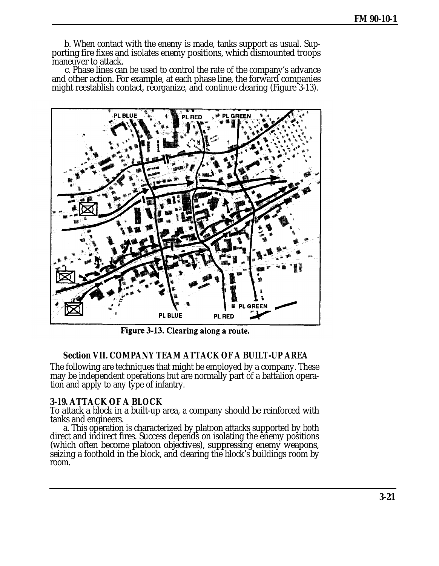b. When contact with the enemy is made, tanks support as usual. Supporting fire fixes and isolates enemy positions, which dismounted troops maneuver to attack.

c. Phase lines can be used to control the rate of the company's advance and other action. For example, at each phase line, the forward companies might reestablish contact, reorganize, and continue clearing (Figure 3-13).

![](_page_20_Figure_3.jpeg)

Figure 3-13. Clearing along a route.

# **Section VII. COMPANY TEAM ATTACK OF A BUILT-UP AREA**

The following are techniques that might be employed by a company. These may be independent operations but are normally part of a battalion operation and apply to any type of infantry.

### **3-19. ATTACK OF A BLOCK**

To attack a block in a built-up area, a company should be reinforced with tanks and engineers.

a. This operation is characterized by platoon attacks supported by both direct and indirect fires. Success depends on isolating the enemy positions (which often become platoon objectives), suppressing enemy weapons, seizing a foothold in the block, and clearing the block's buildings room by room.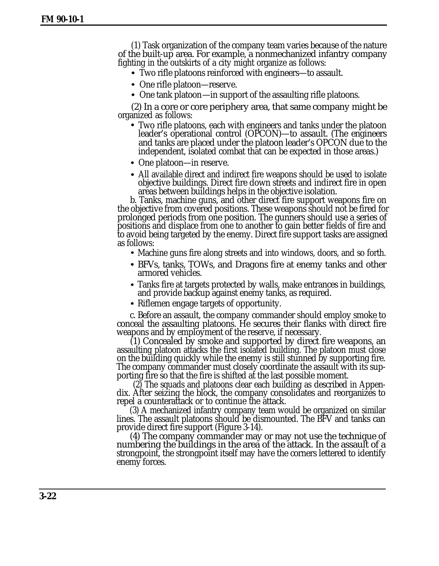(1) Task organization of the company team varies because of the nature of the built-up area. For example, a nonmechanized infantry company fighting in the outskirts of a city might organize as follows:

- Two rifle platoons reinforced with engineers—to assault.
- One rifle platoon—reserve.
- One tank platoon—in support of the assaulting rifle platoons.

(2) In a core or core periphery area, that same company might be organized as follows:

- Two rifle platoons, each with engineers and tanks under the platoon leader's operational control (OPCON)—to assault. (The engineers and tanks are placed under the platoon leader's OPCON due to the independent, isolated combat that can be expected in those areas.)
- One platoon—in reserve.
- All available direct and indirect fire weapons should be used to isolate objective buildings. Direct fire down streets and indirect fire in open areas between buildings helps in the objective isolation.

b. Tanks, machine guns, and other direct fire support weapons fire on the objective from covered positions. These weapons should not be fired for prolonged periods from one position. The gunners should use a series of positions and displace from one to another to gain better fields of fire and to avoid being targeted by the enemy. Direct fire support tasks are assigned as follows:

- Machine guns fire along streets and into windows, doors, and so forth.
- BFVs, tanks, TOWs, and Dragons fire at enemy tanks and other armored vehicles.
- Tanks fire at targets protected by walls, make entrances in buildings, and provide backup against enemy tanks, as required.
- Riflemen engage targets of opportunity.

c. Before an assault, the company commander should employ smoke to conceal the assaulting platoons. He secures their flanks with direct fire weapons and by employment of the reserve, if necessary.

(1) Concealed by smoke and supported by direct fire weapons, an assaulting platoon attacks the first isolated building. The platoon must close on the building quickly while the enemy is still stunned by supporting fire. The company commander must closely coordinate the assault with its supporting fire so that the fire is shifted at the last possible moment.

(2) The squads and platoons clear each building as described in Appendix. After seizing the block, the company consolidates and reorganizes to repel a counterattack or to continue the attack.

(3) A mechanized infantry company team would be organized on similar lines. The assault platoons should be dismounted. The BFV and tanks can provide direct fire support [\(Figure 3-14\)](#page-22-0).

(4) The company commander may or may not use the technique of numbering the buildings in the area of the attack. In the assault of a strongpoint, the strongpoint itself may have the corners lettered to identify enemy forces.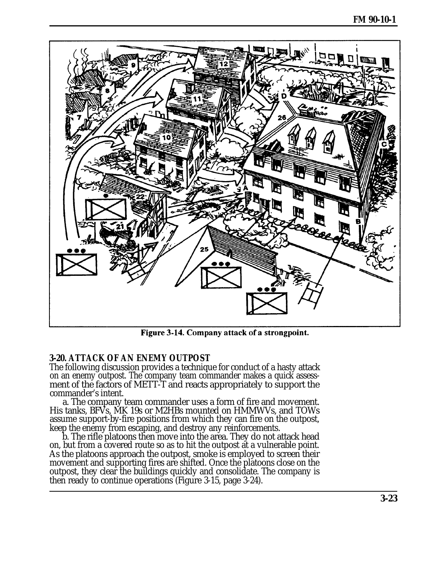<span id="page-22-0"></span>![](_page_22_Figure_1.jpeg)

Figure 3-14. Company attack of a strongpoint.

# **3-20. ATTACK OF AN ENEMY OUTPOST**

The following discussion provides a technique for conduct of a hasty attack on an enemy outpost. The company team commander makes a quick assessment of the factors of METT-T and reacts appropriately to support the commander's intent.

a. The company team commander uses a form of fire and movement. His tanks, BFVs, MK 19s or M2HBs mounted on HMMWVs, and TOWs assume support-by-fire positions from which they can fire on the outpost, keep the enemy from escaping, and destroy any reinforcements.

b. The rifle platoons then move into the area. They do not attack head on, but from a covered route so as to hit the outpost at a vulnerable point. As the platoons approach the outpost, smoke is employed to screen their movement and supporting fires are shifted. Once the platoons close on the outpost, they clear the buildings quickly and consolidate. The company is then ready to continue operations [\(Figure 3-15,](#page-23-0) page 3-24).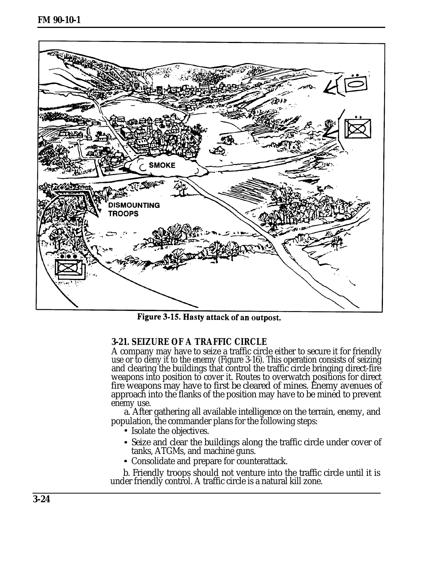<span id="page-23-0"></span>![](_page_23_Figure_1.jpeg)

Figure 3-15. Hasty attack of an outpost.

# **3-21. SEIZURE OF A TRAFFIC CIRCLE**

A company may have to seize a traffic circle either to secure it for friendly use or to deny it to the enemy [\(Figure 3-16\)](#page-24-0). This operation consists of seizing and clearing the buildings that control the traffic circle bringing direct-fire weapons into position to cover it. Routes to overwatch positions for direct fire weapons may have to first be cleared of mines. Enemy avenues of approach into the flanks of the position may have to be mined to prevent enemy use.

a. After gathering all available intelligence on the terrain, enemy, and population, the commander plans for the following steps:

- Isolate the objectives.
- Seize and clear the buildings along the traffic circle under cover of tanks, ATGMs, and machine guns.
- Consolidate and prepare for counterattack.

b. Friendly troops should not venture into the traffic circle until it is under friendly control. A traffic circle is a natural kill zone.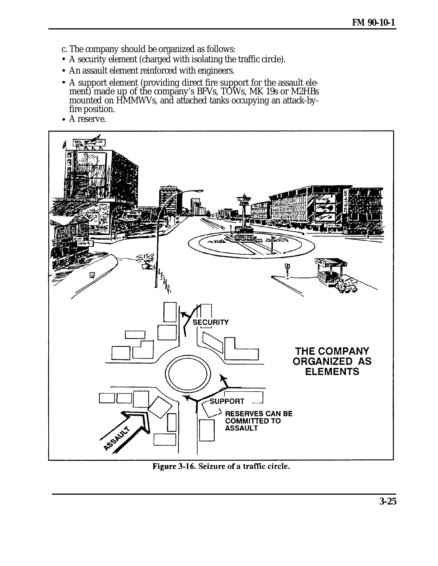- <span id="page-24-0"></span>c. The company should be organized as follows:
- A security element (charged with isolating the traffic circle).
- An assault element reinforced with engineers.
- A support element (providing direct fire support for the assault element) made up of the company's BFVs, TOWs, MK 19s or M2HBs mounted on HMMWVs, and attached tanks occupying an attack-byfire position.
- A reserve.

![](_page_24_Picture_6.jpeg)

Figure 3-16. Seizure of a traffic circle.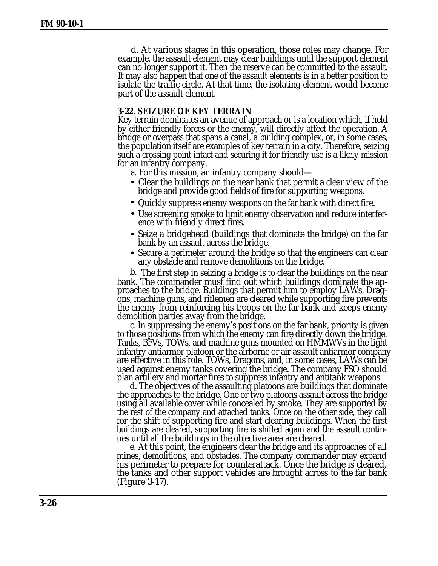d. At various stages in this operation, those roles may change. For example, the assault element may clear buildings until the support element can no longer support it. Then the reserve can be committed to the assault. It may also happen that one of the assault elements is in a better position to isolate the traffic circle. At that time, the isolating element would become part of the assault element.

### **3-22. SEIZURE OF KEY TERRAIN**

Key terrain dominates an avenue of approach or is a location which, if held by either friendly forces or the enemy, will directly affect the operation. A bridge or overpass that spans a canal, a building complex, or, in some cases, the population itself are examples of key terrain in a city. Therefore, seizing such a crossing point intact and securing it for friendly use is a likely mission for an infantry company.

- a. For this mission, an infantry company should—
- Clear the buildings on the near bank that permit a clear view of the bridge and provide good fields of fire for supporting weapons.
- Quickly suppress enemy weapons on the far bank with direct fire.
- Use screening smoke to limit enemy observation and reduce interference with friendly direct fires.
- Seize a bridgehead (buildings that dominate the bridge) on the far bank by an assault across the bridge.
- Secure a perimeter around the bridge so that the engineers can clear any obstacle and remove demolitions on the bridge.

b. The first step in seizing a bridge is to clear the buildings on the near bank. The commander must find out which buildings dominate the approaches to the bridge. Buildings that permit him to employ LAWs, Dragons, machine guns, and riflemen are cleared while supporting fire prevents the enemy from reinforcing his troops on the far bank and keeps enemy demolition parties away from the bridge.

c. In suppressing the enemy's positions on the far bank, priority is given to those positions from which the enemy can fire directly down the bridge. Tanks, BFVs, TOWs, and machine guns mounted on HMMWVs in the light infantry antiarmor platoon or the airborne or air assault antiarmor company are effective in this role. TOWs, Dragons, and, in some cases, LAWs can be used against enemy tanks covering the bridge. The company FSO should plan artillery and mortar fires to suppress infantry and antitank weapons.

d. The objectives of the assaulting platoons are buildings that dominate the approaches to the bridge. One or two platoons assault across the bridge using all available cover while concealed by smoke. They are supported by the rest of the company and attached tanks. Once on the other side, they call for the shift of supporting fire and start clearing buildings. When the first buildings are cleared, supporting fire is shifted again and the assault continues until all the buildings in the objective area are cleared.

e. At this point, the engineers clear the bridge and its approaches of all mines, demolitions, and obstacles. The company commander may expand his perimeter to prepare for counterattack. Once the bridge is cleared, the tanks and other support vehicles are brought across to the far bank [\(Figure 3-17](#page-26-0)).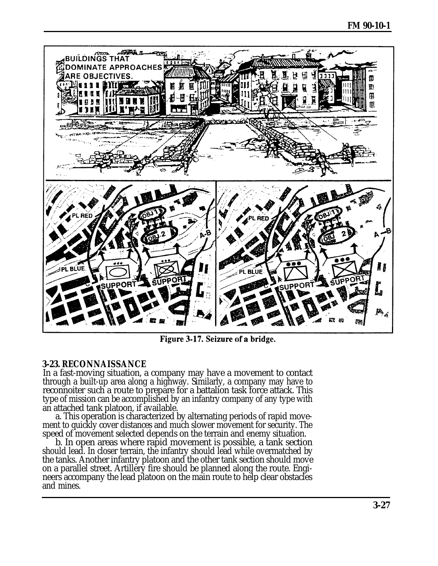<span id="page-26-0"></span>![](_page_26_Picture_1.jpeg)

Figure 3-17. Seizure of a bridge.

# **3-23. RECONNAISSANCE**

In a fast-moving situation, a company may have a movement to contact through a built-up area along a highway. Similarly, a company may have to reconnoiter such a route to prepare for a battalion task force attack. This type of mission can be accomplished by an infantry company of any type with an attached tank platoon, if available.

a. This operation is characterized by alternating periods of rapid movement to quickly cover distances and much slower movement for security. The speed of movement selected depends on the terrain and enemy situation.

b. In open areas where rapid movement is possible, a tank section should lead. In closer terrain, the infantry should lead while overmatched by the tanks. Another infantry platoon and the other tank section should move on a parallel street. Artillery fire should be planned along the route. Engineers accompany the lead platoon on the main route to help clear obstacles and mines.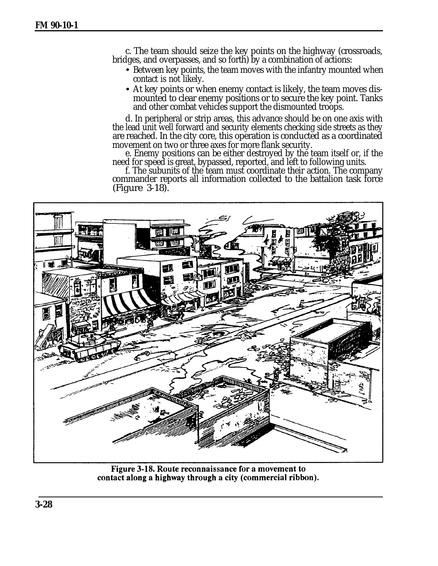c. The team should seize the key points on the highway (crossroads, bridges, and overpasses, and so forth) by a combination of actions:

- Between key points, the team moves with the infantry mounted when contact is not likely.
- At key points or when enemy contact is likely, the team moves dismounted to clear enemy positions or to secure the key point. Tanks and other combat vehicles support the dismounted troops.

d. In peripheral or strip areas, this advance should be on one axis with the lead unit well forward and security elements checking side streets as they are reached. In the city core, this operation is conducted as a coordinated movement on two or three axes for more flank security.

e. Enemy positions can be either destroyed by the team itself or, if the need for speed is great, bypassed, reported, and left to following units.

f. The subunits of the team must coordinate their action. The company commander reports all information collected to the battalion task force (Figure 3-18).

![](_page_27_Picture_7.jpeg)

Figure 3-18. Route reconnaissance for a movement to contact along a highway through a city (commercial ribbon).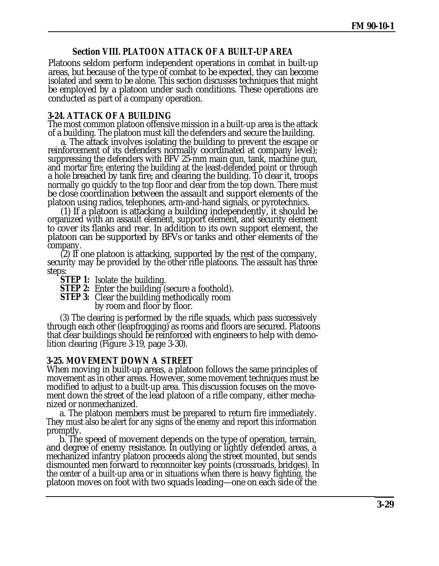# **Section VIII. PLATOON ATTACK OF A BUILT-UP AREA**

Platoons seldom perform independent operations in combat in built-up areas, but because of the type of combat to be expected, they can become isolated and seem to be alone. This section discusses techniques that might be employed by a platoon under such conditions. These operations are conducted as part of a company operation.

#### **3-24. ATTACK OF A BUILDING**

The most common platoon offensive mission in a built-up area is the attack of a building. The platoon must kill the defenders and secure the building.

a. The attack involves isolating the building to prevent the escape or reinforcement of its defenders normally coordinated at company level); suppressing the defenders with BFV 25-mm main gun, tank, machine gun, and mortar fire; entering the building at the least-defended point or through a hole breached by tank fire; and clearing the building. To clear it, troops normally go quickly to the top floor and clear from the top down. There must be close coordination between the assault and support elements of the platoon using radios, telephones, arm-and-hand signals, or pyrotechnics.

(1) If a platoon is attacking a building independently, it should be organized with an assault element, support element, and security element to cover its flanks and rear. In addition to its own support element, the platoon can be supported by BFVs or tanks and other elements of the company.

(2) If one platoon is attacking, supported by the rest of the company, security may be provided by the other rifle platoons. The assault has three steps:

- **STEP 1:** Isolate the building.
- **STEP 2:** Enter the building (secure a foothold).
- **STEP 3:** Clear the building methodically room

by room and floor by floor.

(3) The clearing is performed by the rifle squads, which pass successively through each other (leapfrogging) as rooms and floors are secured. Platoons that clear buildings should be reinforced with engineers to help with demolition clearing [\(Figure 3-19,](#page-29-0) page 3-30).

### **3-25. MOVEMENT DOWN A STREET**

When moving in built-up areas, a platoon follows the same principles of movement as in other areas. However, some movement techniques must be modified to adjust to a built-up area. This discussion focuses on the movement down the street of the lead platoon of a rifle company, either mechanized or nonmechanized.

a. The platoon members must be prepared to return fire immediately. They must also be alert for any signs of the enemy and report this information promptly.

b. The speed of movement depends on the type of operation, terrain, and degree of enemy resistance. In outlying or lightly defended areas, a mechanized infantry platoon proceeds along the street mounted, but sends dismounted men forward to reconnoiter key points (crossroads, bridges). In the center of a built-up area or in situations when there is heavy fighting, the platoon moves on foot with two squads leading—one on each side of the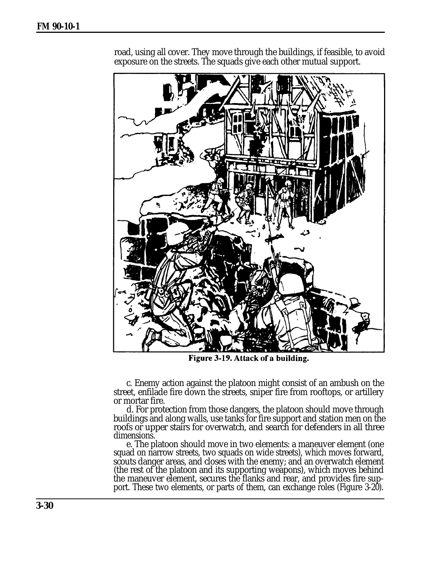![](_page_29_Picture_1.jpeg)

<span id="page-29-0"></span>road, using all cover. They move through the buildings, if feasible, to avoid exposure on the streets. The squads give each other mutual support.

Figure 3-19. Attack of a building.

c. Enemy action against the platoon might consist of an ambush on the street, enfilade fire down the streets, sniper fire from rooftops, or artillery or mortar fire.

d. For protection from those dangers, the platoon should move through buildings and along walls, use tanks for fire support and station men on the roofs or upper stairs for overwatch, and search for defenders in all three dimensions.

e. The platoon should move in two elements: a maneuver element (one squad on narrow streets, two squads on wide streets), which moves forward, scouts danger areas, and closes with the enemy; and an overwatch element (the rest of the platoon and its supporting weapons), which moves behind the maneuver element, secures the flanks and rear, and provides fire support. These two elements, or parts of them, can exchange roles [\(Figure 3-20\)](#page-30-0).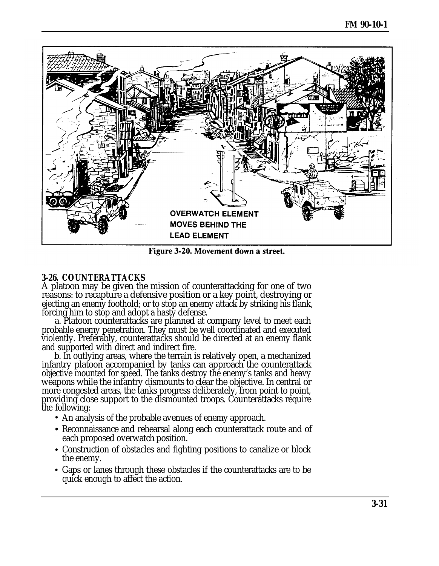<span id="page-30-0"></span>![](_page_30_Figure_1.jpeg)

Figure 3-20. Movement down a street.

# **3-26. COUNTERATTACKS**

A platoon may be given the mission of counterattacking for one of two reasons: to recapture a defensive position or a key point, destroying or ejecting an enemy foothold; or to stop an enemy attack by striking his flank, forcing him to stop and adopt a hasty defense.

a. Platoon counterattacks are planned at company level to meet each probable enemy penetration. They must be well coordinated and executed violently. Preferably, counterattacks should be directed at an enemy flank and supported with direct and indirect fire.

b. In outlying areas, where the terrain is relatively open, a mechanized infantry platoon accompanied by tanks can approach the counterattack objective mounted for speed. The tanks destroy the enemy's tanks and heavy weapons while the infantry dismounts to clear the objective. In central or more congested areas, the tanks progress deliberately, from point to point, providing close support to the dismounted troops. Counterattacks require the following:

- An analysis of the probable avenues of enemy approach.
- Reconnaissance and rehearsal along each counterattack route and of each proposed overwatch position.
- Construction of obstacles and fighting positions to canalize or block the enemy.
- Gaps or lanes through these obstacles if the counterattacks are to be quick enough to affect the action.